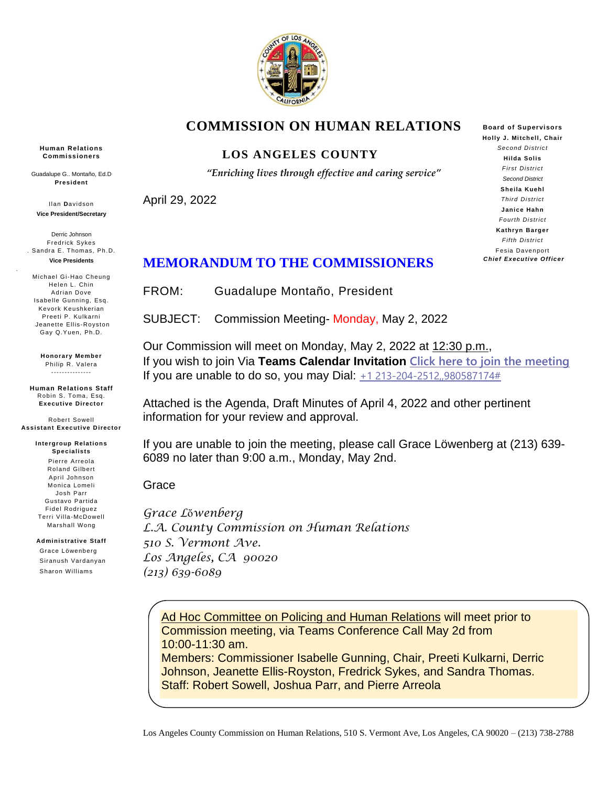

## **COMMISSION ON HUMAN RELATIONS**

#### **LOS ANGELES COUNTY**

*"Enriching lives through effective and caring service"*

April 29, 2022

**Board of Supervisors Holly J. Mitchell, Chair**  *Second District* **Hilda Solis** *First District Second District* **Sheila Kuehl** *Third District* **Janice Hahn** *Fourth District* **Kathryn Barger** *Fifth District* Fesia Davenport *Chief Executive Officer*

## **MEMORANDUM TO THE COMMISSIONERS**

FROM: Guadalupe Montaño, President

SUBJECT: Commission Meeting- Monday, May 2, 2022

Our Commission will meet on Monday, May 2, 2022 at 12:30 p.m., If you wish to join Via **Teams Calendar Invitation [Click here to join the meeting](https://teams.microsoft.com/l/meetup-join/19%3ameeting_NTQ1NDEzYjItYWRkZS00MmE2LWFiNTAtZTc3Zjg3YWYzMmY5%40thread.v2/0?context=%7b%22Tid%22%3a%227faea798-6ad0-4fc9-b068-fcbcaed341f6%22%2c%22Oid%22%3a%22b13eb531-3b2f-42e3-a2ca-01b1105a588c%22%7d)** If you are unable to do so, you may Dial:  $+1$  213-204-2512,,980587174#

Attached is the Agenda, Draft Minutes of April 4, 2022 and other pertinent information for your review and approval.

If you are unable to join the meeting, please call Grace Löwenberg at (213) 639- 6089 no later than 9:00 a.m., Monday, May 2nd.

Grace

*Grace L*ὄ*wenberg L.A. County Commission on Human Relations 510 S. Vermont Ave. Los Angeles, CA 90020 (213) 639-6089*

Ad Hoc Committee on Policing and Human Relations will meet prior to Commission meeting, via Teams Conference Call May 2d from 10:00-11:30 am.

Members: Commissioner Isabelle Gunning, Chair, Preeti Kulkarni, Derric Johnson, Jeanette Ellis-Royston, Fredrick Sykes, and Sandra Thomas. Staff: Robert Sowell, Joshua Parr, and Pierre Arreola

**Human Relations Commissioners**

Guadalupe G.. Montaño, Ed.D **President**

Ilan **D**avidson **Vice President/Secretary**

Derric Johnson Fredrick Sykes . Sandra E. Thomas, Ph.D. **Vice Presidents**

.

Michael Gi-Hao Cheung Helen L. Chin Adrian Dove Isabelle Gunning, Esq. Kevork Keushkerian Preeti P. Kulkarni Jeanette Ellis-Royston Gay Q.Yuen, Ph.D.

> **Honorary Member** Philip R. Valera ---------------

**Human Relations Staff** Robin S. Toma, Esq. **Executive Director** 

Robert Sowell **Assistant Executive Director**

> **Intergroup Relations Specialists** Pierre Arreola Roland Gilbert April Johnson Monica Lomeli Josh Parr Gustavo Partida Fidel Rodriguez Terri Villa-McDowell Marshall Wong

**Administrative Staff** Grace Löwenberg

 Siranush Vardanyan Sharon Williams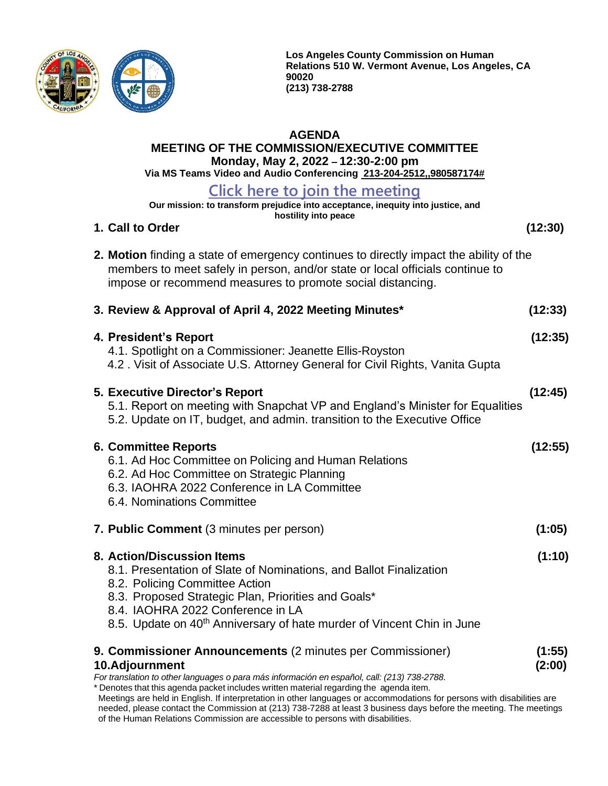

**Los Angeles County Commission on Human Relations 510 W. Vermont Avenue, Los Angeles, CA 90020 (213) 738-2788**

#### **AGENDA**

**MEETING OF THE COMMISSION/EXECUTIVE COMMITTEE Monday, May 2, 2022 – 12:30-2:00 pm**

**Via MS Teams Video and Audio Conferencing 213-204-2512,,980587174#**

## **Click here to join the [meeting](https://teams.microsoft.com/l/meetup-join/19%3ameeting_NTQ1NDEzYjItYWRkZS00MmE2LWFiNTAtZTc3Zjg3YWYzMmY5%40thread.v2/0?context=%7b%22Tid%22%3a%227faea798-6ad0-4fc9-b068-fcbcaed341f6%22%2c%22Oid%22%3a%22b13eb531-3b2f-42e3-a2ca-01b1105a588c%22%7d)**

**Our mission: to transform prejudice into acceptance, inequity into justice, and**

| oolon. to transform projudice into acceptance, inequity into justice, and<br>hostility into peace                                                                                                                                                                                                                    |                  |
|----------------------------------------------------------------------------------------------------------------------------------------------------------------------------------------------------------------------------------------------------------------------------------------------------------------------|------------------|
| 1. Call to Order                                                                                                                                                                                                                                                                                                     | (12:30)          |
| 2. Motion finding a state of emergency continues to directly impact the ability of the<br>members to meet safely in person, and/or state or local officials continue to<br>impose or recommend measures to promote social distancing.                                                                                |                  |
| 3. Review & Approval of April 4, 2022 Meeting Minutes*                                                                                                                                                                                                                                                               | (12:33)          |
| 4. President's Report<br>4.1. Spotlight on a Commissioner: Jeanette Ellis-Royston<br>4.2. Visit of Associate U.S. Attorney General for Civil Rights, Vanita Gupta                                                                                                                                                    | (12:35)          |
| <b>5. Executive Director's Report</b><br>5.1. Report on meeting with Snapchat VP and England's Minister for Equalities<br>5.2. Update on IT, budget, and admin. transition to the Executive Office                                                                                                                   | (12:45)          |
| <b>6. Committee Reports</b><br>6.1. Ad Hoc Committee on Policing and Human Relations<br>6.2. Ad Hoc Committee on Strategic Planning<br>6.3. IAOHRA 2022 Conference in LA Committee<br>6.4. Nominations Committee                                                                                                     | (12:55)          |
| 7. Public Comment (3 minutes per person)                                                                                                                                                                                                                                                                             | (1:05)           |
| 8. Action/Discussion Items<br>8.1. Presentation of Slate of Nominations, and Ballot Finalization<br>8.2. Policing Committee Action<br>8.3. Proposed Strategic Plan, Priorities and Goals*<br>8.4. IAOHRA 2022 Conference in LA<br>8.5. Update on 40 <sup>th</sup> Anniversary of hate murder of Vincent Chin in June | (1:10)           |
| 9. Commissioner Announcements (2 minutes per Commissioner)<br>10.Adjournment<br>For translation to other languages o para más información en español, call: (213) 738-2788                                                                                                                                           | (1:55)<br>(2:00) |

*For translation to other languages o para más información en español, call: (213) 738-2788.* \* Denotes that this agenda packet includes written material regarding the agenda item.

Meetings are held in English. If interpretation in other languages or accommodations for persons with disabilities are needed, please contact the Commission at (213) 738-7288 at least 3 business days before the meeting. The meetings of the Human Relations Commission are accessible to persons with disabilities.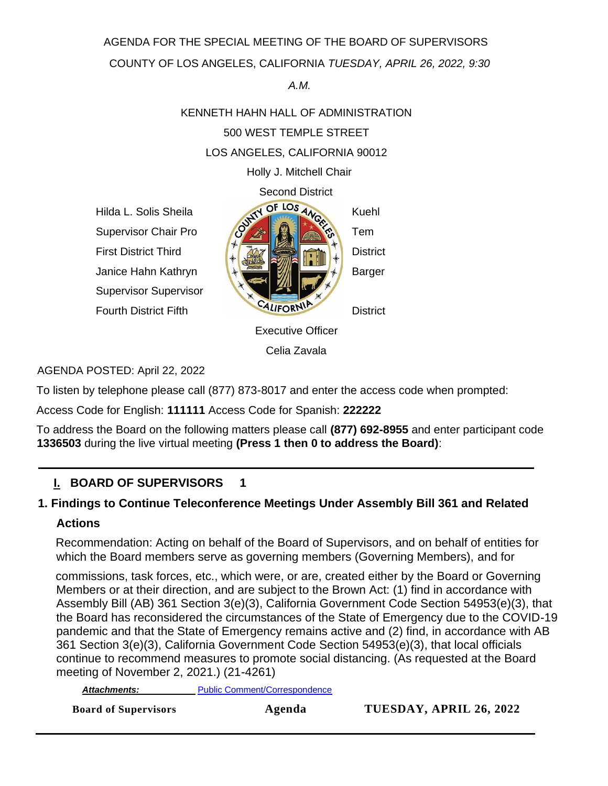AGENDA FOR THE SPECIAL MEETING OF THE BOARD OF SUPERVISORS

COUNTY OF LOS ANGELES, CALIFORNIA *TUESDAY, APRIL 26, 2022, 9:30* 

#### *A.M.*

# KENNETH HAHN HALL OF ADMINISTRATION 500 WEST TEMPLE STREET LOS ANGELES, CALIFORNIA 90012

Holly J. Mitchell Chair

Supervisor Supervisor



Celia Zavala

## AGENDA POSTED: April 22, 2022

To listen by telephone please call (877) 873-8017 and enter the access code when prompted:

Access Code for English: **111111** Access Code for Spanish: **222222** 

To address the Board on the following matters please call **(877) 692-8955** and enter participant code **1336503** during the live virtual meeting **(Press 1 then 0 to address the Board)**:

## **I. BOARD OF SUPERVISORS 1**

## **1. Findings to Continue Teleconference Meetings Under Assembly Bill 361 and Related**

## **Actions**

Recommendation: Acting on behalf of the Board of Supervisors, and on behalf of entities for which the Board members serve as governing members (Governing Members), and for

commissions, task forces, etc., which were, or are, created either by the Board or Governing Members or at their direction, and are subject to the Brown Act: (1) find in accordance with Assembly Bill (AB) 361 Section 3(e)(3), California Government Code Section 54953(e)(3), that the Board has reconsidered the circumstances of the State of Emergency due to the COVID-19 pandemic and that the State of Emergency remains active and (2) find, in accordance with AB 361 Section 3(e)(3), California Government Code Section 54953(e)(3), that local officials continue to recommend measures to promote social distancing. (As requested at the Board meeting of November 2, 2021.) (21-4261)

*Attachments:Attachments:* [Public Comment/Correspondence](http://file.lacounty.gov/SDSInter/bos/supdocs/168402.pdf)

**Board of Supervisors Agenda TUESDAY, APRIL 26, 2022**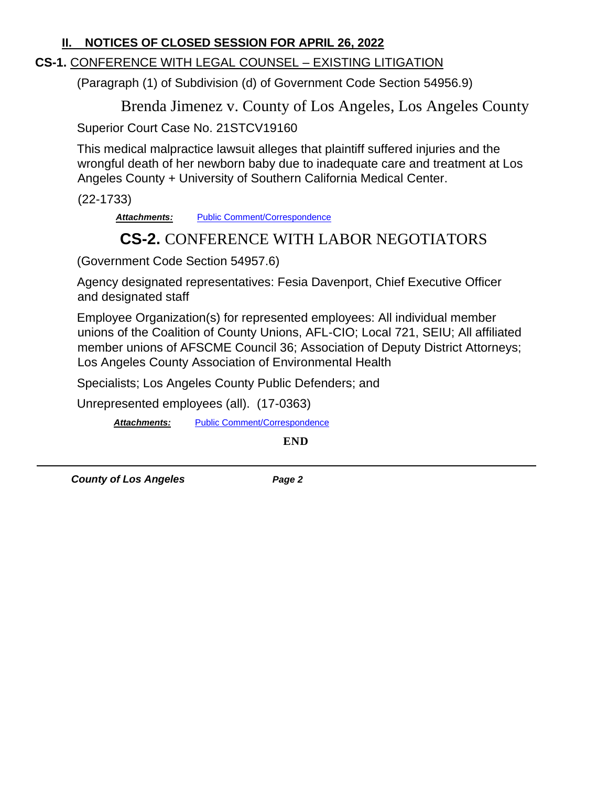## **II. NOTICES OF CLOSED SESSION FOR APRIL 26, 2022**

## **CS-1.** CONFERENCE WITH LEGAL COUNSEL – EXISTING LITIGATION

(Paragraph (1) of Subdivision (d) of Government Code Section 54956.9)

Brenda Jimenez v. County of Los Angeles, Los Angeles County

Superior Court Case No. 21STCV19160

This medical malpractice lawsuit alleges that plaintiff suffered injuries and the wrongful death of her newborn baby due to inadequate care and treatment at Los Angeles County + University of Southern California Medical Center.

(22-1733)

Attachments: [Public Comment/Correspondence](http://file.lacounty.gov/SDSInter/bos/supdocs/168543.pdf)

## **CS-2.** CONFERENCE WITH LABOR NEGOTIATORS

(Government Code Section 54957.6)

Agency designated representatives: Fesia Davenport, Chief Executive Officer and designated staff

Employee Organization(s) for represented employees: All individual member unions of the Coalition of County Unions, AFL-CIO; Local 721, SEIU; All affiliated member unions of AFSCME Council 36; Association of Deputy District Attorneys; Los Angeles County Association of Environmental Health

Specialists; Los Angeles County Public Defenders; and

Unrepresented employees (all). (17-0363)

*Attachments:* [Public Comment/Correspondence](http://file.lacounty.gov/SDSInter/bos/supdocs/168404.pdf)

**END** 

*County of Los Angeles Page 2*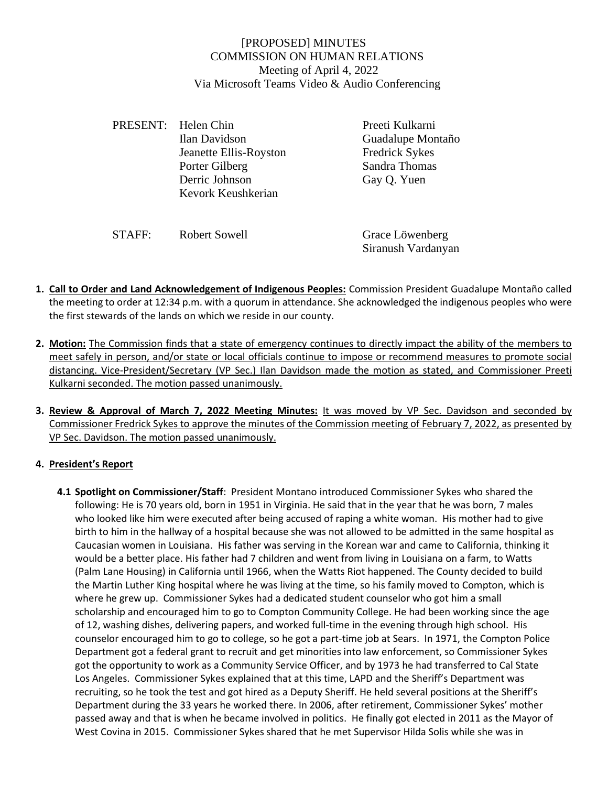#### [PROPOSED] MINUTES COMMISSION ON HUMAN RELATIONS Meeting of April 4, 2022 Via Microsoft Teams Video & Audio Conferencing

| PRESENT: Helen Chin    | Preeti Kulkarni       |
|------------------------|-----------------------|
| Ilan Davidson          | Guadalupe Montaño     |
| Jeanette Ellis-Royston | <b>Fredrick Sykes</b> |
| Porter Gilberg         | Sandra Thomas         |
| Derric Johnson         | Gay Q. Yuen           |
| Kevork Keushkerian     |                       |
|                        |                       |
|                        |                       |

| STAFF: | Robert Sowell | Grace Löwenberg    |
|--------|---------------|--------------------|
|        |               | Siranush Vardanyan |

- **1. Call to Order and Land Acknowledgement of Indigenous Peoples:** Commission President Guadalupe Montaño called the meeting to order at 12:34 p.m. with a quorum in attendance. She acknowledged the indigenous peoples who were the first stewards of the lands on which we reside in our county.
- **2. Motion:** The Commission finds that a state of emergency continues to directly impact the ability of the members to meet safely in person, and/or state or local officials continue to impose or recommend measures to promote social distancing. Vice-President/Secretary (VP Sec.) Ilan Davidson made the motion as stated, and Commissioner Preeti Kulkarni seconded. The motion passed unanimously.
- **3. Review & Approval of March 7, 2022 Meeting Minutes:** It was moved by VP Sec. Davidson and seconded by Commissioner Fredrick Sykes to approve the minutes of the Commission meeting of February 7, 2022, as presented by VP Sec. Davidson. The motion passed unanimously.

#### **4. President's Report**

**4.1 Spotlight on Commissioner/Staff**: President Montano introduced Commissioner Sykes who shared the following: He is 70 years old, born in 1951 in Virginia. He said that in the year that he was born, 7 males who looked like him were executed after being accused of raping a white woman. His mother had to give birth to him in the hallway of a hospital because she was not allowed to be admitted in the same hospital as Caucasian women in Louisiana. His father was serving in the Korean war and came to California, thinking it would be a better place. His father had 7 children and went from living in Louisiana on a farm, to Watts (Palm Lane Housing) in California until 1966, when the Watts Riot happened. The County decided to build the Martin Luther King hospital where he was living at the time, so his family moved to Compton, which is where he grew up. Commissioner Sykes had a dedicated student counselor who got him a small scholarship and encouraged him to go to Compton Community College. He had been working since the age of 12, washing dishes, delivering papers, and worked full-time in the evening through high school. His counselor encouraged him to go to college, so he got a part-time job at Sears. In 1971, the Compton Police Department got a federal grant to recruit and get minorities into law enforcement, so Commissioner Sykes got the opportunity to work as a Community Service Officer, and by 1973 he had transferred to Cal State Los Angeles. Commissioner Sykes explained that at this time, LAPD and the Sheriff's Department was recruiting, so he took the test and got hired as a Deputy Sheriff. He held several positions at the Sheriff's Department during the 33 years he worked there. In 2006, after retirement, Commissioner Sykes' mother passed away and that is when he became involved in politics. He finally got elected in 2011 as the Mayor of West Covina in 2015. Commissioner Sykes shared that he met Supervisor Hilda Solis while she was in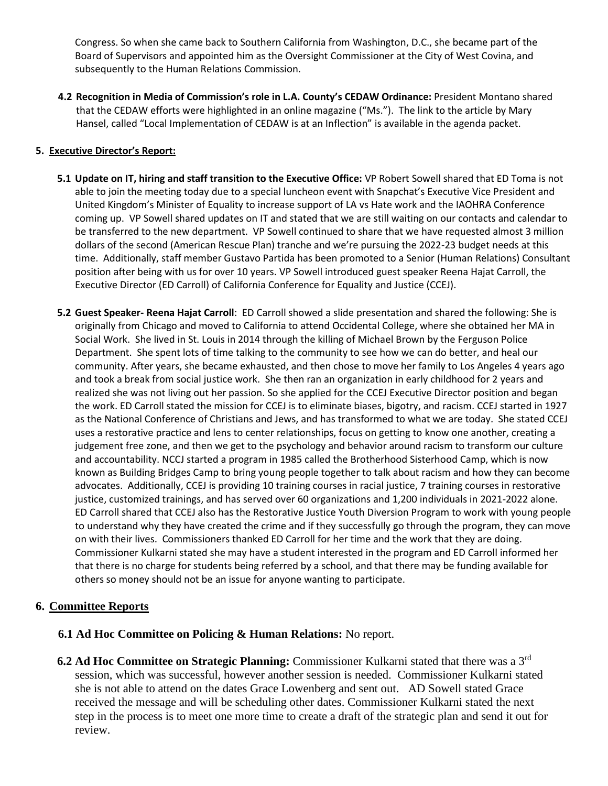Congress. So when she came back to Southern California from Washington, D.C., she became part of the Board of Supervisors and appointed him as the Oversight Commissioner at the City of West Covina, and subsequently to the Human Relations Commission.

**4.2 Recognition in Media of Commission's role in L.A. County's CEDAW Ordinance:** President Montano shared that the CEDAW efforts were highlighted in an online magazine ("Ms."). The link to the article by Mary Hansel, called "Local Implementation of CEDAW is at an Inflection" is available in the agenda packet.

#### **5. Executive Director's Report:**

- **5.1 Update on IT, hiring and staff transition to the Executive Office:** VP Robert Sowell shared that ED Toma is not able to join the meeting today due to a special luncheon event with Snapchat's Executive Vice President and United Kingdom's Minister of Equality to increase support of LA vs Hate work and the IAOHRA Conference coming up. VP Sowell shared updates on IT and stated that we are still waiting on our contacts and calendar to be transferred to the new department. VP Sowell continued to share that we have requested almost 3 million dollars of the second (American Rescue Plan) tranche and we're pursuing the 2022-23 budget needs at this time. Additionally, staff member Gustavo Partida has been promoted to a Senior (Human Relations) Consultant position after being with us for over 10 years. VP Sowell introduced guest speaker Reena Hajat Carroll, the Executive Director (ED Carroll) of California Conference for Equality and Justice (CCEJ).
- **5.2 Guest Speaker- Reena Hajat Carroll**: ED Carroll showed a slide presentation and shared the following: She is originally from Chicago and moved to California to attend Occidental College, where she obtained her MA in Social Work. She lived in St. Louis in 2014 through the killing of Michael Brown by the Ferguson Police Department. She spent lots of time talking to the community to see how we can do better, and heal our community. After years, she became exhausted, and then chose to move her family to Los Angeles 4 years ago and took a break from social justice work. She then ran an organization in early childhood for 2 years and realized she was not living out her passion. So she applied for the CCEJ Executive Director position and began the work. ED Carroll stated the mission for CCEJ is to eliminate biases, bigotry, and racism. CCEJ started in 1927 as the National Conference of Christians and Jews, and has transformed to what we are today. She stated CCEJ uses a restorative practice and lens to center relationships, focus on getting to know one another, creating a judgement free zone, and then we get to the psychology and behavior around racism to transform our culture and accountability. NCCJ started a program in 1985 called the Brotherhood Sisterhood Camp, which is now known as Building Bridges Camp to bring young people together to talk about racism and how they can become advocates. Additionally, CCEJ is providing 10 training courses in racial justice, 7 training courses in restorative justice, customized trainings, and has served over 60 organizations and 1,200 individuals in 2021-2022 alone. ED Carroll shared that CCEJ also has the Restorative Justice Youth Diversion Program to work with young people to understand why they have created the crime and if they successfully go through the program, they can move on with their lives. Commissioners thanked ED Carroll for her time and the work that they are doing. Commissioner Kulkarni stated she may have a student interested in the program and ED Carroll informed her that there is no charge for students being referred by a school, and that there may be funding available for others so money should not be an issue for anyone wanting to participate.

#### **6. Committee Reports**

#### **6.1 Ad Hoc Committee on Policing & Human Relations:** No report.

**6.2 Ad Hoc Committee on Strategic Planning:** Commissioner Kulkarni stated that there was a 3rd session, which was successful, however another session is needed. Commissioner Kulkarni stated she is not able to attend on the dates Grace Lowenberg and sent out. AD Sowell stated Grace received the message and will be scheduling other dates. Commissioner Kulkarni stated the next step in the process is to meet one more time to create a draft of the strategic plan and send it out for review.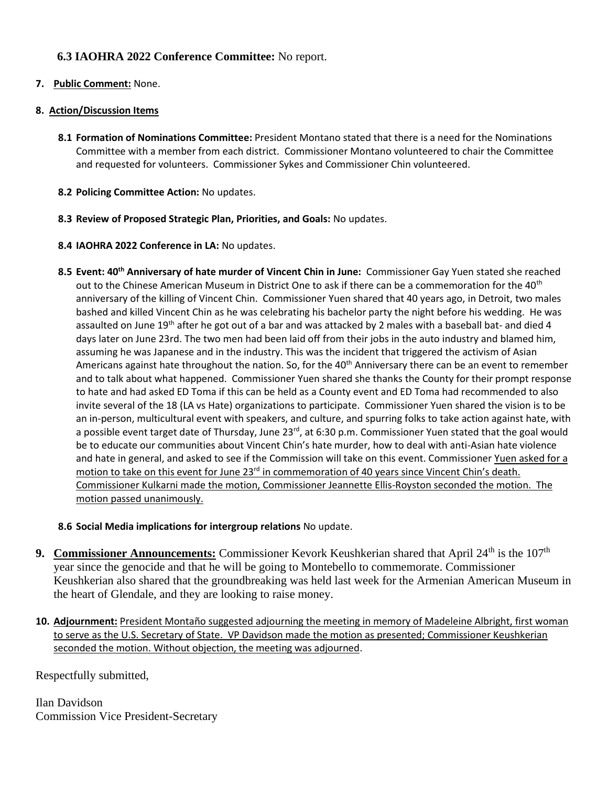#### **6.3 IAOHRA 2022 Conference Committee:** No report.

#### **7. Public Comment:** None.

#### **8. Action/Discussion Items**

- **8.1 Formation of Nominations Committee:** President Montano stated that there is a need for the Nominations Committee with a member from each district. Commissioner Montano volunteered to chair the Committee and requested for volunteers. Commissioner Sykes and Commissioner Chin volunteered.
- **8.2 Policing Committee Action:** No updates.
- **8.3 Review of Proposed Strategic Plan, Priorities, and Goals:** No updates.
- **8.4 IAOHRA 2022 Conference in LA:** No updates.
- **8.5 Event: 40th Anniversary of hate murder of Vincent Chin in June:** Commissioner Gay Yuen stated she reached out to the Chinese American Museum in District One to ask if there can be a commemoration for the 40<sup>th</sup> anniversary of the killing of Vincent Chin. Commissioner Yuen shared that 40 years ago, in Detroit, two males bashed and killed Vincent Chin as he was celebrating his bachelor party the night before his wedding. He was assaulted on June 19<sup>th</sup> after he got out of a bar and was attacked by 2 males with a baseball bat- and died 4 days later on June 23rd. The two men had been laid off from their jobs in the auto industry and blamed him, assuming he was Japanese and in the industry. This was the incident that triggered the activism of Asian Americans against hate throughout the nation. So, for the 40<sup>th</sup> Anniversary there can be an event to remember and to talk about what happened. Commissioner Yuen shared she thanks the County for their prompt response to hate and had asked ED Toma if this can be held as a County event and ED Toma had recommended to also invite several of the 18 (LA vs Hate) organizations to participate. Commissioner Yuen shared the vision is to be an in-person, multicultural event with speakers, and culture, and spurring folks to take action against hate, with a possible event target date of Thursday, June 23<sup>rd</sup>, at 6:30 p.m. Commissioner Yuen stated that the goal would be to educate our communities about Vincent Chin's hate murder, how to deal with anti-Asian hate violence and hate in general, and asked to see if the Commission will take on this event. Commissioner Yuen asked for a motion to take on this event for June 23<sup>rd</sup> in commemoration of 40 years since Vincent Chin's death. Commissioner Kulkarni made the motion, Commissioner Jeannette Ellis-Royston seconded the motion. The motion passed unanimously.

#### **8.6 Social Media implications for intergroup relations** No update.

- 9. **Commissioner Announcements:** Commissioner Kevork Keushkerian shared that April 24<sup>th</sup> is the 107<sup>th</sup> year since the genocide and that he will be going to Montebello to commemorate. Commissioner Keushkerian also shared that the groundbreaking was held last week for the Armenian American Museum in the heart of Glendale, and they are looking to raise money.
- **10. Adjournment:** President Montaño suggested adjourning the meeting in memory of Madeleine Albright, first woman to serve as the U.S. Secretary of State. VP Davidson made the motion as presented; Commissioner Keushkerian seconded the motion. Without objection, the meeting was adjourned.

Respectfully submitted,

Ilan Davidson Commission Vice President-Secretary